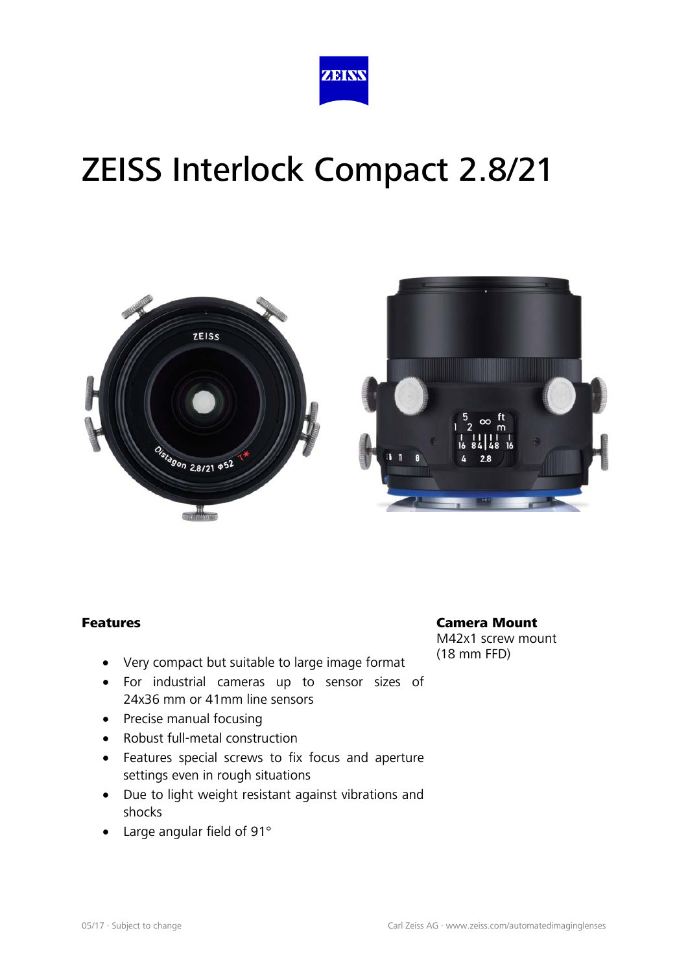



#### Features

- Very compact but suitable to large image format
- For industrial cameras up to sensor sizes of 24x36 mm or 41mm line sensors
- Precise manual focusing
- Robust full-metal construction
- Features special screws to fix focus and aperture settings even in rough situations
- Due to light weight resistant against vibrations and shocks
- Large angular field of 91°

#### Camera Mount

M42x1 screw mount (18 mm FFD)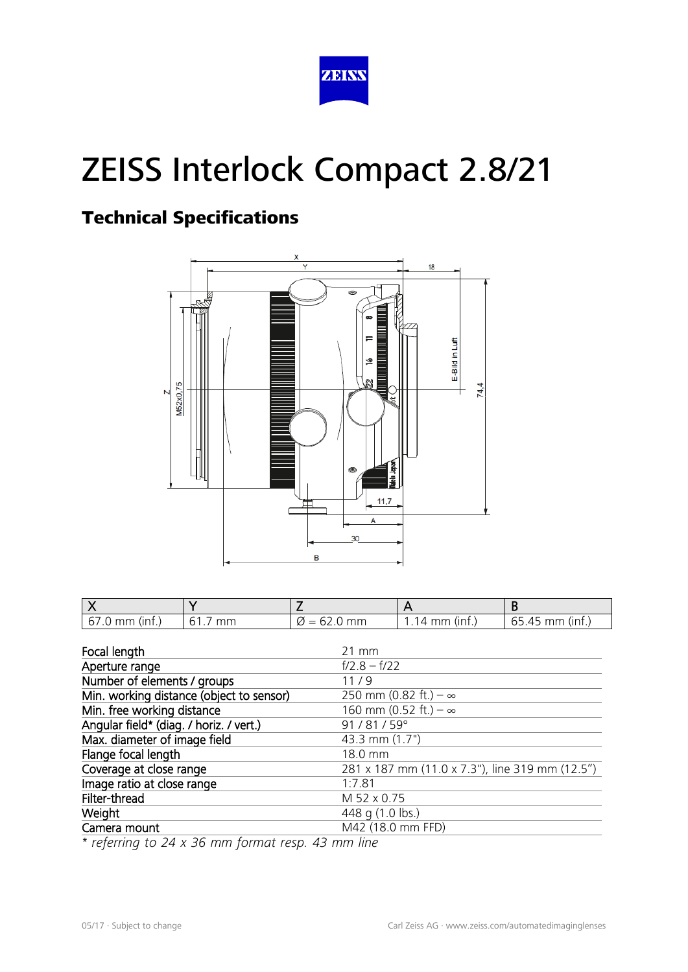

### Technical Specifications



| $67.0$ mm (inf.) | mm<br>61. | $\varnothing$ = 62.0 mm | 1.14 mm (inf.) | $65.45$ mm (inf.) |
|------------------|-----------|-------------------------|----------------|-------------------|

| Focal length                             | $21 \, \text{mm}$                               |
|------------------------------------------|-------------------------------------------------|
| Aperture range                           | $f/2.8 - f/22$                                  |
| Number of elements / groups              | 11/9                                            |
| Min. working distance (object to sensor) | 250 mm (0.82 ft.) – $\infty$                    |
| Min. free working distance               | 160 mm (0.52 ft.) $-\infty$                     |
| Angular field* (diag. / horiz. / vert.)  | 91/81/59°                                       |
| Max. diameter of image field             | 43.3 mm (1.7")                                  |
| Flange focal length                      | 18.0 mm                                         |
| Coverage at close range                  | 281 x 187 mm (11.0 x 7.3"), line 319 mm (12.5") |
| Image ratio at close range               | 1:7.81                                          |
| Filter-thread                            | M 52 x 0.75                                     |
| Weight                                   | 448 g (1.0 lbs.)                                |
| Camera mount                             | M42 (18.0 mm FFD)                               |

*\* referring to 24 x 36 mm format resp. 43 mm line*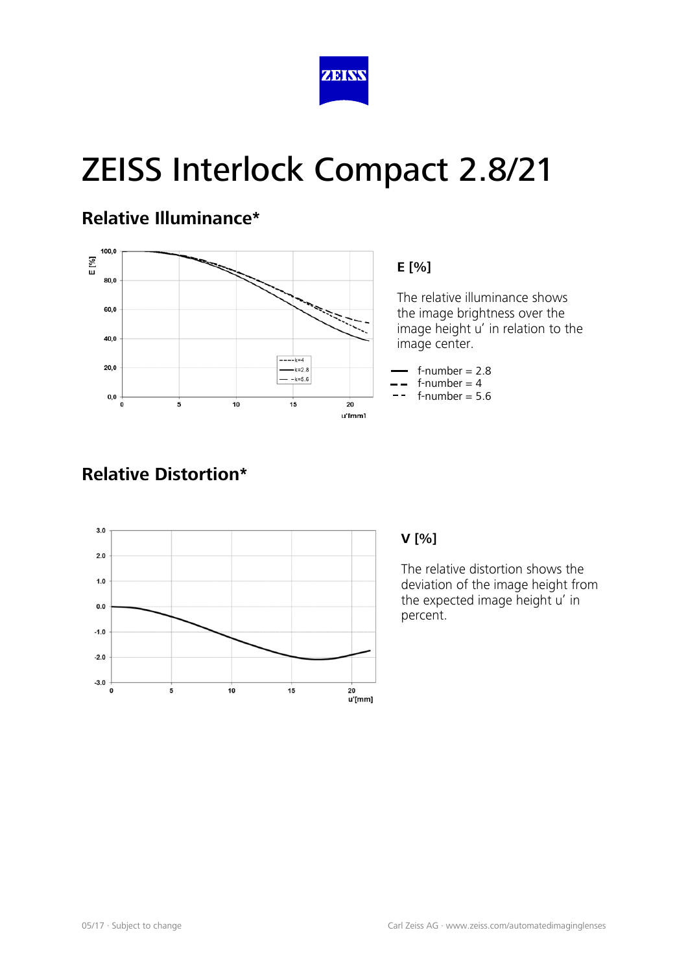

### **Relative Illuminance\***



#### **E [%]**

 The relative illuminance shows the image brightness over the image height u' in relation to the image center.

 $f$ -number = 2.8  $f$ -number = 4

 $f$ -number = 5.6

### **Relative Distortion\***



#### **V [%]**

The relative distortion shows the deviation of the image height from the expected image height u' in percent.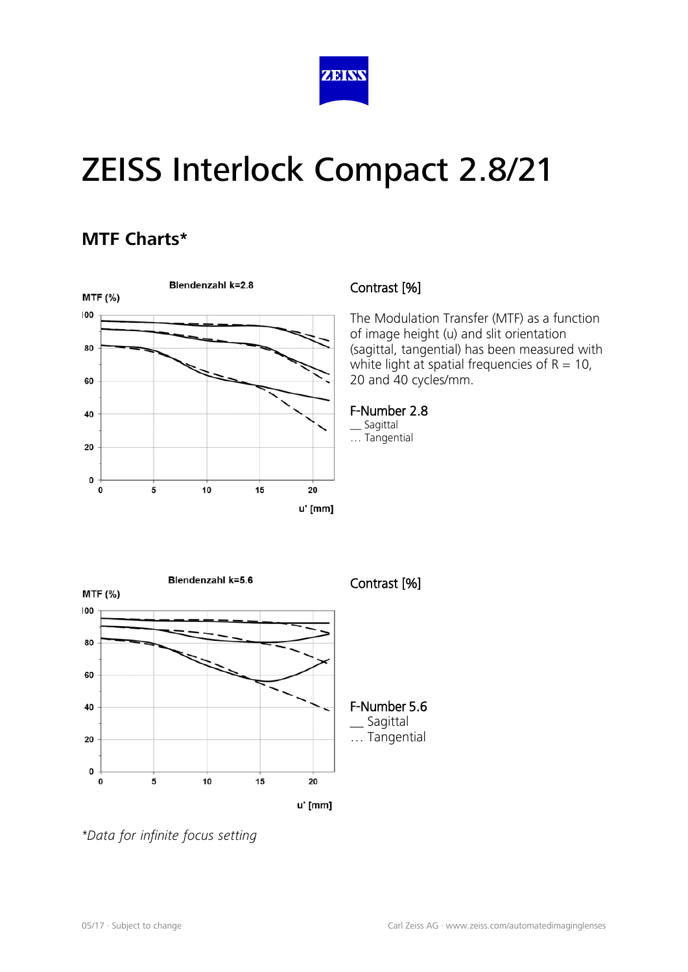

### **MTF Charts\***



#### Contrast [%]

The Modulation Transfer (MTF) as a function of image height (u) and slit orientation (sagittal, tangential) has been measured with white light at spatial frequencies of  $R = 10$ , 20 and 40 cycles/mm.

#### F-Number 2.8

\_\_ Sagittal … Tangential



*\*Data for infinite focus setting*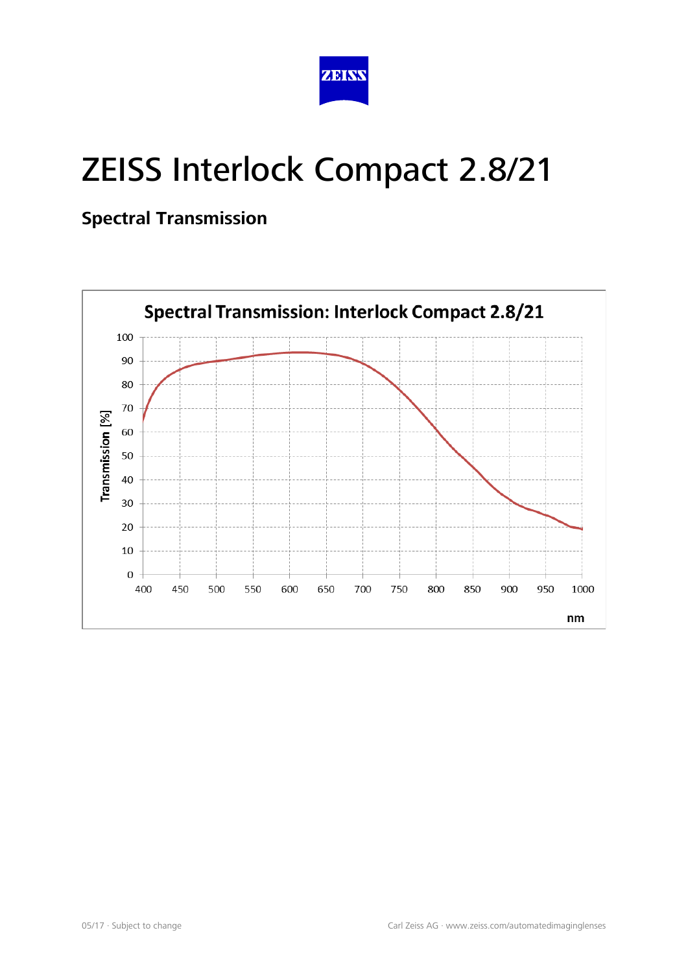

### **Spectral Transmission**